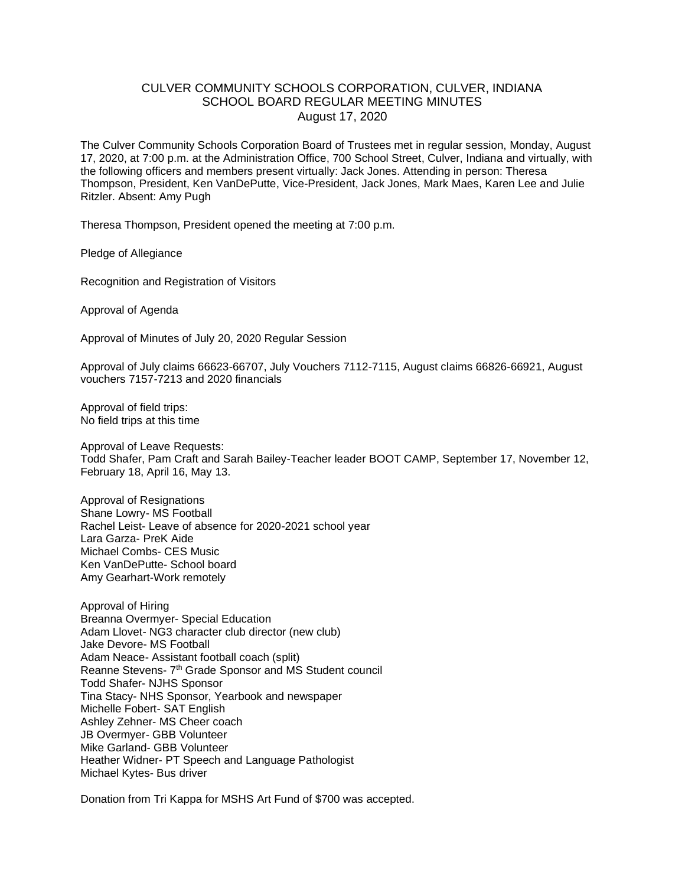## CULVER COMMUNITY SCHOOLS CORPORATION, CULVER, INDIANA SCHOOL BOARD REGULAR MEETING MINUTES August 17, 2020

The Culver Community Schools Corporation Board of Trustees met in regular session, Monday, August 17, 2020, at 7:00 p.m. at the Administration Office, 700 School Street, Culver, Indiana and virtually, with the following officers and members present virtually: Jack Jones. Attending in person: Theresa Thompson, President, Ken VanDePutte, Vice-President, Jack Jones, Mark Maes, Karen Lee and Julie Ritzler. Absent: Amy Pugh

Theresa Thompson, President opened the meeting at 7:00 p.m.

Pledge of Allegiance

Recognition and Registration of Visitors

Approval of Agenda

Approval of Minutes of July 20, 2020 Regular Session

Approval of July claims 66623-66707, July Vouchers 7112-7115, August claims 66826-66921, August vouchers 7157-7213 and 2020 financials

Approval of field trips: No field trips at this time

Approval of Leave Requests: Todd Shafer, Pam Craft and Sarah Bailey-Teacher leader BOOT CAMP, September 17, November 12, February 18, April 16, May 13.

Approval of Resignations Shane Lowry- MS Football Rachel Leist- Leave of absence for 2020-2021 school year Lara Garza- PreK Aide Michael Combs- CES Music Ken VanDePutte- School board Amy Gearhart-Work remotely

Approval of Hiring Breanna Overmyer- Special Education Adam Llovet- NG3 character club director (new club) Jake Devore- MS Football Adam Neace- Assistant football coach (split) Reanne Stevens- 7<sup>th</sup> Grade Sponsor and MS Student council Todd Shafer- NJHS Sponsor Tina Stacy- NHS Sponsor, Yearbook and newspaper Michelle Fobert- SAT English Ashley Zehner- MS Cheer coach JB Overmyer- GBB Volunteer Mike Garland- GBB Volunteer Heather Widner- PT Speech and Language Pathologist Michael Kytes- Bus driver

Donation from Tri Kappa for MSHS Art Fund of \$700 was accepted.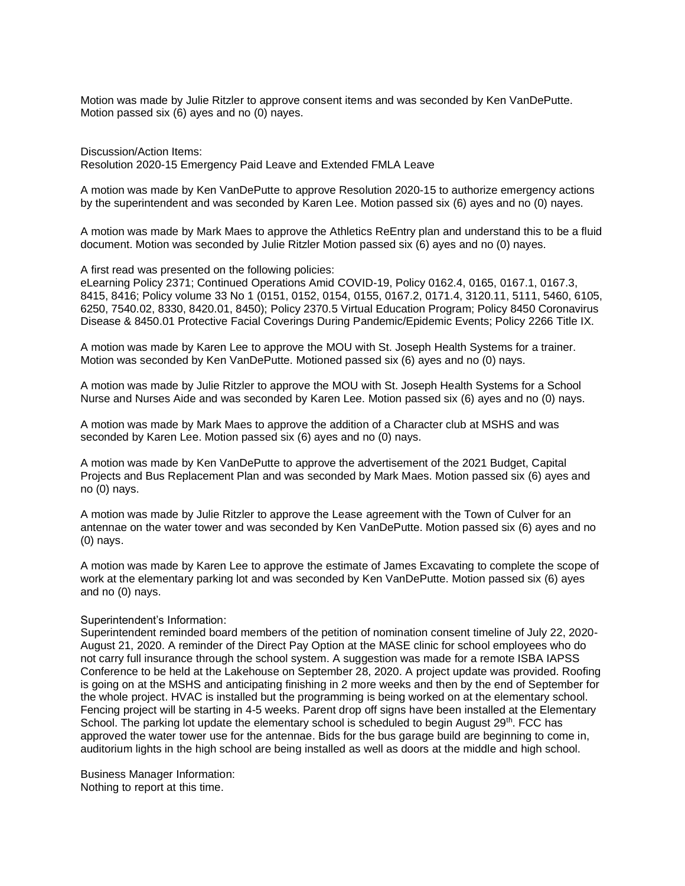Motion was made by Julie Ritzler to approve consent items and was seconded by Ken VanDePutte. Motion passed six (6) ayes and no (0) nayes.

Discussion/Action Items: Resolution 2020-15 Emergency Paid Leave and Extended FMLA Leave

A motion was made by Ken VanDePutte to approve Resolution 2020-15 to authorize emergency actions by the superintendent and was seconded by Karen Lee. Motion passed six (6) ayes and no (0) nayes.

A motion was made by Mark Maes to approve the Athletics ReEntry plan and understand this to be a fluid document. Motion was seconded by Julie Ritzler Motion passed six (6) ayes and no (0) nayes.

A first read was presented on the following policies:

eLearning Policy 2371; Continued Operations Amid COVID-19, Policy 0162.4, 0165, 0167.1, 0167.3, 8415, 8416; Policy volume 33 No 1 (0151, 0152, 0154, 0155, 0167.2, 0171.4, 3120.11, 5111, 5460, 6105, 6250, 7540.02, 8330, 8420.01, 8450); Policy 2370.5 Virtual Education Program; Policy 8450 Coronavirus Disease & 8450.01 Protective Facial Coverings During Pandemic/Epidemic Events; Policy 2266 Title IX.

A motion was made by Karen Lee to approve the MOU with St. Joseph Health Systems for a trainer. Motion was seconded by Ken VanDePutte. Motioned passed six (6) ayes and no (0) nays.

A motion was made by Julie Ritzler to approve the MOU with St. Joseph Health Systems for a School Nurse and Nurses Aide and was seconded by Karen Lee. Motion passed six (6) ayes and no (0) nays.

A motion was made by Mark Maes to approve the addition of a Character club at MSHS and was seconded by Karen Lee. Motion passed six (6) ayes and no (0) nays.

A motion was made by Ken VanDePutte to approve the advertisement of the 2021 Budget, Capital Projects and Bus Replacement Plan and was seconded by Mark Maes. Motion passed six (6) ayes and no (0) nays.

A motion was made by Julie Ritzler to approve the Lease agreement with the Town of Culver for an antennae on the water tower and was seconded by Ken VanDePutte. Motion passed six (6) ayes and no (0) nays.

A motion was made by Karen Lee to approve the estimate of James Excavating to complete the scope of work at the elementary parking lot and was seconded by Ken VanDePutte. Motion passed six (6) ayes and no (0) nays.

## Superintendent's Information:

Superintendent reminded board members of the petition of nomination consent timeline of July 22, 2020- August 21, 2020. A reminder of the Direct Pay Option at the MASE clinic for school employees who do not carry full insurance through the school system. A suggestion was made for a remote ISBA IAPSS Conference to be held at the Lakehouse on September 28, 2020. A project update was provided. Roofing is going on at the MSHS and anticipating finishing in 2 more weeks and then by the end of September for the whole project. HVAC is installed but the programming is being worked on at the elementary school. Fencing project will be starting in 4-5 weeks. Parent drop off signs have been installed at the Elementary School. The parking lot update the elementary school is scheduled to begin August 29<sup>th</sup>. FCC has approved the water tower use for the antennae. Bids for the bus garage build are beginning to come in, auditorium lights in the high school are being installed as well as doors at the middle and high school.

Business Manager Information: Nothing to report at this time.